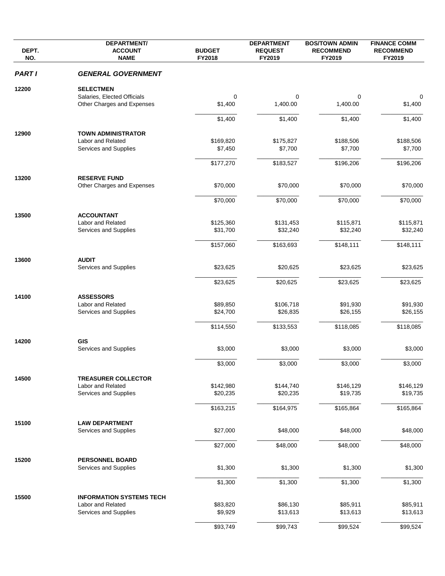| DEPT.<br>NO.  | <b>DEPARTMENT/</b><br><b>ACCOUNT</b><br><b>NAME</b> | <b>BUDGET</b><br>FY2018 | <b>DEPARTMENT</b><br><b>REQUEST</b><br>FY2019 | <b>BOS/TOWN ADMIN</b><br><b>RECOMMEND</b><br>FY2019 | <b>FINANCE COMM</b><br><b>RECOMMEND</b> |
|---------------|-----------------------------------------------------|-------------------------|-----------------------------------------------|-----------------------------------------------------|-----------------------------------------|
|               |                                                     |                         |                                               |                                                     | FY2019                                  |
| <b>PART I</b> | <b>GENERAL GOVERNMENT</b>                           |                         |                                               |                                                     |                                         |
| 12200         | <b>SELECTMEN</b>                                    |                         |                                               |                                                     |                                         |
|               | Salaries, Elected Officials                         | 0                       | 0                                             | 0                                                   | 0                                       |
|               | Other Charges and Expenses                          | \$1,400                 | 1,400.00                                      | 1,400.00                                            | \$1,400                                 |
|               |                                                     | \$1,400                 | \$1,400                                       | \$1,400                                             | \$1,400                                 |
| 12900         | <b>TOWN ADMINISTRATOR</b>                           |                         |                                               |                                                     |                                         |
|               | Labor and Related                                   | \$169,820               | \$175,827                                     | \$188,506                                           | \$188,506                               |
|               | Services and Supplies                               | \$7,450                 | \$7,700                                       | \$7,700                                             | \$7,700                                 |
|               |                                                     | \$177,270               | \$183,527                                     | \$196,206                                           | \$196,206                               |
| 13200         | <b>RESERVE FUND</b>                                 |                         |                                               |                                                     |                                         |
|               | Other Charges and Expenses                          | \$70,000                | \$70,000                                      | \$70,000                                            | \$70,000                                |
|               |                                                     | \$70,000                | \$70,000                                      | \$70,000                                            | \$70,000                                |
| 13500         | <b>ACCOUNTANT</b>                                   |                         |                                               |                                                     |                                         |
|               | Labor and Related                                   | \$125,360               | \$131,453                                     | \$115,871                                           | \$115,871                               |
|               | Services and Supplies                               | \$31,700                | \$32,240                                      | \$32,240                                            | \$32,240                                |
|               |                                                     | \$157,060               | \$163,693                                     | \$148,111                                           | \$148,111                               |
|               |                                                     |                         |                                               |                                                     |                                         |
| 13600         | <b>AUDIT</b><br>Services and Supplies               | \$23,625                | \$20,625                                      | \$23,625                                            | \$23,625                                |
|               |                                                     | \$23,625                | \$20,625                                      | \$23,625                                            | \$23,625                                |
|               |                                                     |                         |                                               |                                                     |                                         |
| 14100         | <b>ASSESSORS</b>                                    |                         |                                               |                                                     |                                         |
|               | Labor and Related                                   | \$89,850                | \$106,718                                     | \$91,930                                            | \$91,930                                |
|               | Services and Supplies                               | \$24,700                | \$26,835                                      | \$26,155                                            | \$26,155                                |
|               |                                                     | \$114,550               | \$133,553                                     | \$118,085                                           | \$118,085                               |
| 14200         | <b>GIS</b>                                          |                         |                                               |                                                     |                                         |
|               | Services and Supplies                               | \$3,000                 | \$3,000                                       | \$3,000                                             | \$3,000                                 |
|               |                                                     | \$3,000                 | \$3,000                                       | \$3,000                                             | \$3,000                                 |
|               |                                                     |                         |                                               |                                                     |                                         |
| 14500         | <b>TREASURER COLLECTOR</b><br>Labor and Related     | \$142,980               | \$144,740                                     | \$146,129                                           | \$146,129                               |
|               | Services and Supplies                               | \$20,235                | \$20,235                                      | \$19,735                                            | \$19,735                                |
|               |                                                     |                         |                                               |                                                     |                                         |
|               |                                                     | \$163,215               | \$164,975                                     | \$165,864                                           | \$165,864                               |
| 15100         | <b>LAW DEPARTMENT</b>                               |                         |                                               |                                                     |                                         |
|               | Services and Supplies                               | \$27,000                | \$48,000                                      | \$48,000                                            | \$48,000                                |
|               |                                                     | \$27,000                | \$48,000                                      | \$48,000                                            | \$48,000                                |
| 15200         | <b>PERSONNEL BOARD</b>                              |                         |                                               |                                                     |                                         |
|               | Services and Supplies                               | \$1,300                 | \$1,300                                       | \$1,300                                             | \$1,300                                 |
|               |                                                     |                         |                                               |                                                     |                                         |
|               |                                                     | \$1,300                 | \$1,300                                       | \$1,300                                             | \$1,300                                 |
| 15500         | <b>INFORMATION SYSTEMS TECH</b>                     |                         |                                               |                                                     |                                         |
|               | Labor and Related                                   | \$83,820                | \$86,130                                      | \$85,911                                            | \$85,911                                |
|               | Services and Supplies                               | \$9,929                 | \$13,613                                      | \$13,613                                            | \$13,613                                |
|               |                                                     | \$93,749                | \$99,743                                      | \$99,524                                            | \$99,524                                |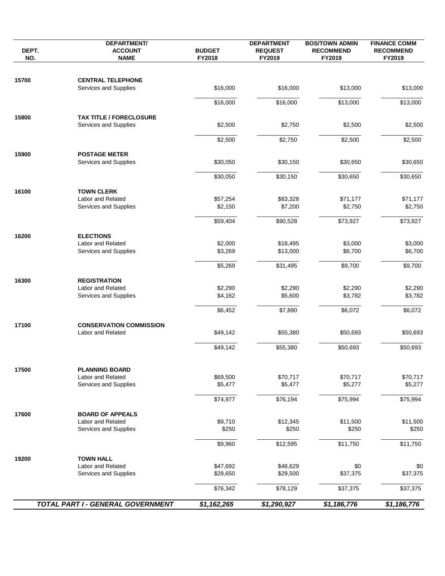| NO.                                                                                             | <b>DEPARTMENT/</b><br><b>ACCOUNT</b><br><b>NAME</b>     | <b>BUDGET</b><br>FY2018 | <b>DEPARTMENT</b><br><b>REQUEST</b><br>FY2019 | <b>BOS/TOWN ADMIN</b><br><b>RECOMMEND</b><br>FY2019 | <b>FINANCE COMM</b><br><b>RECOMMEND</b><br>FY2019 |
|-------------------------------------------------------------------------------------------------|---------------------------------------------------------|-------------------------|-----------------------------------------------|-----------------------------------------------------|---------------------------------------------------|
|                                                                                                 | <b>CENTRAL TELEPHONE</b>                                |                         |                                               |                                                     |                                                   |
|                                                                                                 | Services and Supplies                                   | \$16,000                | \$16,000                                      | \$13,000                                            | \$13,000                                          |
| DEPT.<br>15700<br>15800<br>15900<br>16100<br>16200<br>16300<br>17100<br>17500<br>17600<br>19200 |                                                         | \$16,000                | \$16,000                                      | \$13,000                                            | \$13,000                                          |
|                                                                                                 | <b>TAX TITLE / FORECLOSURE</b><br>Services and Supplies | \$2,500                 | \$2,750                                       | \$2,500                                             | \$2,500                                           |
|                                                                                                 |                                                         | \$2,500                 | \$2,750                                       | \$2,500                                             | \$2,500                                           |
|                                                                                                 | <b>POSTAGE METER</b>                                    |                         |                                               |                                                     |                                                   |
|                                                                                                 | Services and Supplies                                   | \$30,050                | \$30,150                                      | \$30,650                                            | \$30,650                                          |
|                                                                                                 |                                                         | \$30,050                | \$30,150                                      | \$30,650                                            | \$30,650                                          |
|                                                                                                 | <b>TOWN CLERK</b>                                       |                         |                                               |                                                     |                                                   |
|                                                                                                 | Labor and Related                                       | \$57,254                | \$83,328                                      | \$71,177                                            | \$71,177                                          |
|                                                                                                 | Services and Supplies                                   | \$2,150                 | \$7,200                                       | \$2,750                                             | \$2,750                                           |
|                                                                                                 |                                                         | \$59,404                | \$90,528                                      | \$73,927                                            | \$73,927                                          |
|                                                                                                 | <b>ELECTIONS</b>                                        |                         |                                               |                                                     |                                                   |
|                                                                                                 | Labor and Related<br>Services and Supplies              | \$2,000<br>\$3,269      | \$18,495<br>\$13,000                          | \$3,000<br>\$6,700                                  | \$3,000<br>\$6,700                                |
|                                                                                                 |                                                         |                         |                                               |                                                     |                                                   |
|                                                                                                 |                                                         | \$5,269                 | \$31,495                                      | \$9,700                                             | \$9,700                                           |
|                                                                                                 | <b>REGISTRATION</b>                                     |                         |                                               |                                                     |                                                   |
|                                                                                                 | Labor and Related<br>Services and Supplies              | \$2,290<br>\$4,162      | \$2,290<br>\$5,600                            | \$2,290<br>\$3,782                                  | \$2,290<br>\$3,782                                |
|                                                                                                 |                                                         |                         |                                               |                                                     |                                                   |
|                                                                                                 |                                                         | \$6,452                 | \$7,890                                       | \$6,072                                             | \$6,072                                           |
|                                                                                                 | <b>CONSERVATION COMMISSION</b><br>Labor and Related     | \$49,142                | \$55,380                                      | \$50,693                                            | \$50,693                                          |
|                                                                                                 |                                                         |                         |                                               |                                                     |                                                   |
|                                                                                                 |                                                         | \$49,142                | \$55,380                                      | \$50,693                                            | \$50,693                                          |
|                                                                                                 |                                                         |                         |                                               |                                                     |                                                   |
|                                                                                                 | <b>PLANNING BOARD</b><br>Labor and Related              | \$69,500                | \$70,717                                      | \$70,717                                            | \$70,717                                          |
|                                                                                                 | Services and Supplies                                   | \$5,477                 | \$5,477                                       | \$5,277                                             | \$5,277                                           |
|                                                                                                 |                                                         | \$74,977                | \$76,194                                      | \$75,994                                            | \$75,994                                          |
|                                                                                                 | <b>BOARD OF APPEALS</b>                                 |                         |                                               |                                                     |                                                   |
|                                                                                                 | Labor and Related                                       | \$9,710                 | \$12,345                                      | \$11,500                                            | \$11,500                                          |
|                                                                                                 | Services and Supplies                                   | \$250                   | \$250                                         | \$250                                               | \$250                                             |
|                                                                                                 |                                                         | \$9,960                 | \$12,595                                      | \$11,750                                            | \$11,750                                          |
|                                                                                                 | <b>TOWN HALL</b>                                        |                         |                                               |                                                     |                                                   |
|                                                                                                 | Labor and Related                                       | \$47,692                | \$48,629                                      | \$0                                                 | \$0                                               |
|                                                                                                 | Services and Supplies                                   | \$28,650                | \$29,500                                      | \$37,375                                            | \$37,375                                          |
|                                                                                                 |                                                         | \$76,342                | \$78,129                                      | \$37,375                                            | \$37,375                                          |
|                                                                                                 | TOTAL PART I - GENERAL GOVERNMENT                       | \$1,162,265             | \$1,290,927                                   | \$1,186,776                                         | \$1,186,776                                       |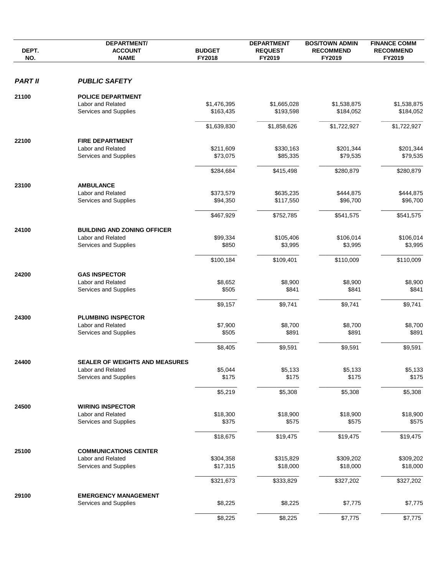| DEPT.<br>NO.                              | <b>DEPARTMENT/</b><br><b>ACCOUNT</b><br><b>NAME</b> | <b>BUDGET</b><br>FY2018  | <b>DEPARTMENT</b><br><b>REQUEST</b><br>FY2019 | <b>BOS/TOWN ADMIN</b><br><b>RECOMMEND</b><br>FY2019 | <b>FINANCE COMM</b><br><b>RECOMMEND</b><br>FY2019 |
|-------------------------------------------|-----------------------------------------------------|--------------------------|-----------------------------------------------|-----------------------------------------------------|---------------------------------------------------|
| <b>PART II</b>                            | <b>PUBLIC SAFETY</b>                                |                          |                                               |                                                     |                                                   |
|                                           |                                                     |                          |                                               |                                                     |                                                   |
| 21100<br>22100<br>23100<br>24300<br>24500 | <b>POLICE DEPARTMENT</b>                            |                          |                                               |                                                     |                                                   |
|                                           | Labor and Related<br>Services and Supplies          | \$1,476,395<br>\$163,435 | \$1,665,028<br>\$193,598                      | \$1,538,875                                         | \$1,538,875                                       |
|                                           |                                                     |                          |                                               | \$184,052                                           | \$184,052                                         |
|                                           |                                                     | \$1,639,830              | \$1,858,626                                   | \$1,722,927                                         | \$1,722,927                                       |
|                                           | <b>FIRE DEPARTMENT</b>                              |                          |                                               |                                                     |                                                   |
|                                           | Labor and Related                                   | \$211,609                | \$330,163                                     | \$201,344                                           | \$201,344                                         |
|                                           | Services and Supplies                               | \$73,075                 | \$85,335                                      | \$79,535                                            | \$79,535                                          |
|                                           |                                                     | \$284,684                | \$415,498                                     | \$280,879                                           | \$280,879                                         |
|                                           |                                                     |                          |                                               |                                                     |                                                   |
|                                           | <b>AMBULANCE</b>                                    |                          |                                               |                                                     |                                                   |
|                                           | Labor and Related<br>Services and Supplies          | \$373,579<br>\$94,350    | \$635,235<br>\$117,550                        | \$444,875<br>\$96,700                               | \$444,875<br>\$96,700                             |
|                                           |                                                     |                          |                                               |                                                     |                                                   |
|                                           |                                                     | \$467,929                | \$752,785                                     | \$541,575                                           | \$541,575                                         |
| 24100<br>24200                            | <b>BUILDING AND ZONING OFFICER</b>                  |                          |                                               |                                                     |                                                   |
|                                           | Labor and Related                                   | \$99,334                 | \$105,406                                     | \$106,014                                           | \$106,014                                         |
|                                           | Services and Supplies                               | \$850                    | \$3,995                                       | \$3,995                                             | \$3,995                                           |
|                                           |                                                     | \$100,184                | \$109,401                                     | \$110,009                                           | \$110,009                                         |
|                                           | <b>GAS INSPECTOR</b>                                |                          |                                               |                                                     |                                                   |
|                                           | Labor and Related                                   | \$8,652                  | \$8,900                                       | \$8,900                                             | \$8,900                                           |
|                                           | Services and Supplies                               | \$505                    | \$841                                         | \$841                                               | \$841                                             |
|                                           |                                                     | \$9,157                  | \$9,741                                       | \$9,741                                             | \$9,741                                           |
|                                           |                                                     |                          |                                               |                                                     |                                                   |
|                                           | <b>PLUMBING INSPECTOR</b><br>Labor and Related      | \$7,900                  | \$8,700                                       | \$8,700                                             | \$8,700                                           |
|                                           | Services and Supplies                               | \$505                    | \$891                                         | \$891                                               | \$891                                             |
|                                           |                                                     |                          |                                               |                                                     |                                                   |
|                                           |                                                     | \$8,405                  | \$9,591                                       | \$9,591                                             | \$9,591                                           |
| 24400                                     | <b>SEALER OF WEIGHTS AND MEASURES</b>               |                          |                                               |                                                     |                                                   |
|                                           | Labor and Related                                   | \$5,044                  | \$5,133                                       | \$5,133                                             | \$5,133                                           |
|                                           | Services and Supplies                               | \$175                    | \$175                                         | \$175                                               | \$175                                             |
|                                           |                                                     | \$5,219                  | \$5,308                                       | \$5,308                                             | \$5,308                                           |
|                                           | <b>WIRING INSPECTOR</b>                             |                          |                                               |                                                     |                                                   |
|                                           | Labor and Related                                   | \$18,300                 | \$18,900                                      | \$18,900                                            | \$18,900                                          |
|                                           | Services and Supplies                               | \$375                    | \$575                                         | \$575                                               | \$575                                             |
|                                           |                                                     | \$18,675                 | \$19,475                                      | \$19,475                                            | \$19,475                                          |
|                                           |                                                     |                          |                                               |                                                     |                                                   |
| 25100                                     | <b>COMMUNICATIONS CENTER</b><br>Labor and Related   |                          |                                               |                                                     |                                                   |
|                                           | Services and Supplies                               | \$304,358<br>\$17,315    | \$315,829<br>\$18,000                         | \$309,202<br>\$18,000                               | \$309,202<br>\$18,000                             |
|                                           |                                                     |                          |                                               |                                                     |                                                   |
|                                           |                                                     | \$321,673                | \$333,829                                     | \$327,202                                           | \$327,202                                         |
| 29100                                     | <b>EMERGENCY MANAGEMENT</b>                         |                          |                                               |                                                     |                                                   |
|                                           | Services and Supplies                               | \$8,225                  | \$8,225                                       | \$7,775                                             | \$7,775                                           |
|                                           |                                                     | \$8,225                  | \$8,225                                       | \$7,775                                             | \$7,775                                           |
|                                           |                                                     |                          |                                               |                                                     |                                                   |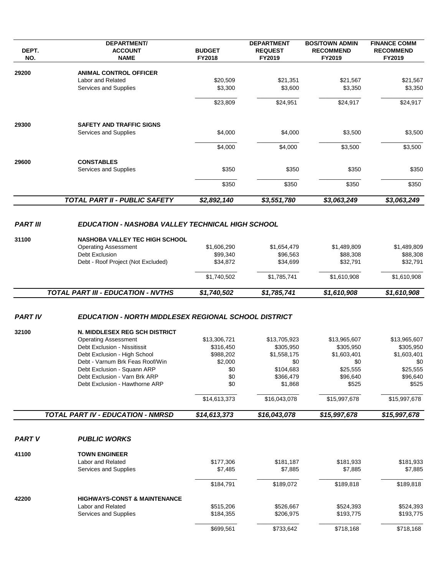|                 | <b>DEPARTMENT/</b>                                             |                         | <b>DEPARTMENT</b>        | <b>BOS/TOWN ADMIN</b>      | <b>FINANCE COMM</b>        |
|-----------------|----------------------------------------------------------------|-------------------------|--------------------------|----------------------------|----------------------------|
| DEPT.<br>NO.    | <b>ACCOUNT</b><br><b>NAME</b>                                  | <b>BUDGET</b><br>FY2018 | <b>REQUEST</b><br>FY2019 | <b>RECOMMEND</b><br>FY2019 | <b>RECOMMEND</b><br>FY2019 |
| 29200           | <b>ANIMAL CONTROL OFFICER</b>                                  |                         |                          |                            |                            |
|                 | Labor and Related                                              | \$20,509                | \$21,351                 | \$21,567                   | \$21,567                   |
|                 | Services and Supplies                                          | \$3,300                 | \$3,600                  | \$3,350                    | \$3,350                    |
|                 |                                                                |                         |                          |                            |                            |
|                 |                                                                | \$23,809                | \$24,951                 | \$24,917                   | \$24,917                   |
| 29300           | <b>SAFETY AND TRAFFIC SIGNS</b>                                |                         |                          |                            |                            |
|                 | Services and Supplies                                          | \$4,000                 | \$4,000                  | \$3,500                    | \$3,500                    |
|                 |                                                                | \$4,000                 | \$4,000                  | \$3,500                    | \$3,500                    |
| 29600           | <b>CONSTABLES</b>                                              |                         |                          |                            |                            |
|                 | Services and Supplies                                          | \$350                   | \$350                    | \$350                      | \$350                      |
|                 |                                                                | \$350                   | \$350                    | \$350                      | \$350                      |
|                 | TOTAL PART II - PUBLIC SAFETY                                  | \$2,892,140             | \$3,551,780              | \$3,063,249                | \$3,063,249                |
|                 |                                                                |                         |                          |                            |                            |
| <b>PART III</b> | <b>EDUCATION - NASHOBA VALLEY TECHNICAL HIGH SCHOOL</b>        |                         |                          |                            |                            |
| 31100           | <b>NASHOBA VALLEY TEC HIGH SCHOOL</b>                          |                         |                          |                            |                            |
|                 | <b>Operating Assessment</b><br>Debt Exclusion                  | \$1,606,290<br>\$99,340 | \$1,654,479<br>\$96,563  | \$1,489,809<br>\$88,308    | \$1,489,809<br>\$88,308    |
|                 | Debt - Roof Project (Not Excluded)                             | \$34,872                | \$34,699                 | \$32,791                   | \$32,791                   |
|                 |                                                                | \$1,740,502             | \$1,785,741              | \$1,610,908                | \$1,610,908                |
|                 | <b>TOTAL PART III - EDUCATION - NVTHS</b>                      | \$1,740,502             | \$1,785,741              | \$1,610,908                | \$1,610,908                |
| <b>PART IV</b>  | <b>EDUCATION - NORTH MIDDLESEX REGIONAL SCHOOL DISTRICT</b>    |                         |                          |                            |                            |
| 32100           | N. MIDDLESEX REG SCH DISTRICT                                  |                         |                          |                            |                            |
|                 | <b>Operating Assessment</b>                                    | \$13,306,721            | \$13,705,923             | \$13,965,607               | \$13,965,607               |
|                 | Debt Exclusion - Nissitissit                                   | \$316,450               | \$305,950                | \$305,950                  | \$305,950                  |
|                 | Debt Exclusion - High School                                   | \$988,202               | \$1,558,175              | \$1,603,401                | \$1,603,401                |
|                 | Debt - Varnum Brk Feas Roof/Win<br>Debt Exclusion - Squann ARP | \$2,000<br>\$0          | \$0<br>\$104,683         | \$0<br>\$25,555            | \$0<br>\$25,555            |
|                 | Debt Exclusion - Varn Brk ARP                                  | \$0                     | \$366,479                | \$96,640                   | \$96,640                   |
|                 | Debt Exclusion - Hawthorne ARP                                 | \$0                     | \$1,868                  | \$525                      | \$525                      |
|                 |                                                                | \$14,613,373            | \$16,043,078             | \$15,997,678               | \$15,997,678               |
|                 | <b>TOTAL PART IV - EDUCATION - NMRSD</b>                       | \$14,613,373            | \$16,043,078             | \$15,997,678               | \$15,997,678               |
|                 |                                                                |                         |                          |                            |                            |
| <b>PART V</b>   | <b>PUBLIC WORKS</b>                                            |                         |                          |                            |                            |
| 41100           | <b>TOWN ENGINEER</b>                                           |                         |                          |                            |                            |
|                 | <b>Labor and Related</b><br>Services and Supplies              | \$177,306<br>\$7,485    | \$181,187<br>\$7,885     | \$181,933<br>\$7,885       | \$181,933<br>\$7,885       |
|                 |                                                                | \$184,791               | \$189,072                | \$189,818                  | \$189,818                  |
|                 | <b>HIGHWAYS-CONST &amp; MAINTENANCE</b>                        |                         |                          |                            |                            |
| 42200           | Labor and Related                                              | \$515,206               | \$526,667                | \$524,393                  | \$524,393                  |
|                 | Services and Supplies                                          | \$184,355               | \$206,975                | \$193,775                  | \$193,775                  |
|                 |                                                                | \$699,561               | \$733,642                | \$718,168                  | \$718,168                  |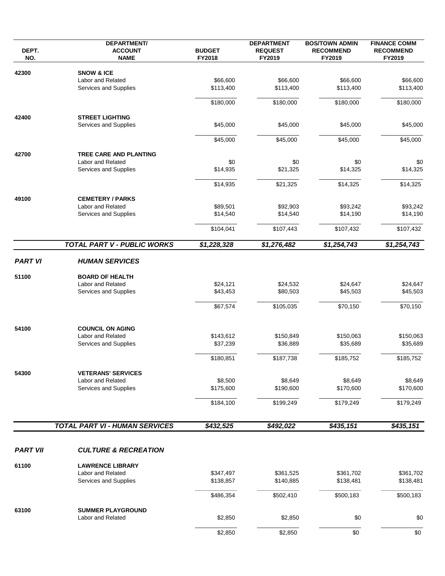| DEPT.<br>NO.            | <b>DEPARTMENT/</b><br><b>ACCOUNT</b><br><b>NAME</b> | <b>BUDGET</b><br>FY2018 | <b>DEPARTMENT</b><br><b>REQUEST</b><br>FY2019 | <b>BOS/TOWN ADMIN</b><br><b>RECOMMEND</b><br>FY2019 | <b>FINANCE COMM</b><br><b>RECOMMEND</b><br>FY2019 |
|-------------------------|-----------------------------------------------------|-------------------------|-----------------------------------------------|-----------------------------------------------------|---------------------------------------------------|
| 42300<br>51100<br>54100 | <b>SNOW &amp; ICE</b>                               |                         |                                               |                                                     |                                                   |
|                         | Labor and Related                                   | \$66,600                | \$66,600                                      | \$66,600                                            | \$66,600                                          |
|                         | Services and Supplies                               | \$113,400               | \$113,400                                     | \$113,400                                           | \$113,400                                         |
|                         |                                                     | \$180,000               | \$180,000                                     | \$180,000                                           | \$180,000                                         |
| 42400                   | <b>STREET LIGHTING</b>                              |                         |                                               |                                                     |                                                   |
|                         | Services and Supplies                               | \$45,000                | \$45,000                                      | \$45,000                                            | \$45,000                                          |
|                         |                                                     | \$45,000                | \$45,000                                      | \$45,000                                            | \$45,000                                          |
| 42700                   | <b>TREE CARE AND PLANTING</b>                       |                         |                                               |                                                     |                                                   |
|                         | <b>Labor and Related</b>                            | \$0                     | \$0                                           | \$0                                                 | \$0                                               |
|                         | Services and Supplies                               | \$14,935                | \$21,325                                      | \$14,325                                            | \$14,325                                          |
|                         |                                                     | \$14,935                | \$21,325                                      | \$14,325                                            | \$14,325                                          |
| 49100                   | <b>CEMETERY / PARKS</b>                             |                         |                                               |                                                     |                                                   |
|                         | Labor and Related                                   | \$89,501                | \$92,903                                      | \$93,242                                            | \$93,242                                          |
|                         | Services and Supplies                               | \$14,540                | \$14,540                                      | \$14,190                                            | \$14,190                                          |
|                         |                                                     | \$104,041               | \$107,443                                     | \$107,432                                           | \$107,432                                         |
|                         | TOTAL PART V - PUBLIC WORKS                         | \$1,228,328             | \$1,276,482                                   | \$1,254,743                                         | \$1,254,743                                       |
| <b>PART VI</b>          | <b>HUMAN SERVICES</b>                               |                         |                                               |                                                     |                                                   |
|                         | <b>BOARD OF HEALTH</b>                              |                         |                                               |                                                     |                                                   |
|                         | Labor and Related                                   | \$24,121                | \$24,532                                      | \$24,647                                            | \$24,647                                          |
|                         | Services and Supplies                               | \$43,453                | \$80,503                                      | \$45,503                                            | \$45,503                                          |
|                         |                                                     | \$67,574                | \$105,035                                     | \$70,150                                            | \$70,150                                          |
|                         | <b>COUNCIL ON AGING</b>                             |                         |                                               |                                                     |                                                   |
|                         | Labor and Related                                   | \$143,612               | \$150,849                                     | \$150,063                                           | \$150,063                                         |
|                         | Services and Supplies                               | \$37,239                | \$36,889                                      | \$35,689                                            | \$35,689                                          |
|                         |                                                     |                         |                                               |                                                     |                                                   |
|                         |                                                     | \$180,851               | \$187,738                                     | \$185,752                                           | \$185,752                                         |
| 54300                   | <b>VETERANS' SERVICES</b>                           |                         |                                               |                                                     |                                                   |
|                         | Labor and Related                                   | \$8,500                 | \$8,649                                       | \$8,649                                             | \$8,649                                           |
|                         | Services and Supplies                               | \$175,600               | \$190,600                                     | \$170,600                                           | \$170,600                                         |
|                         |                                                     | \$184,100               | \$199,249                                     | \$179,249                                           | \$179,249                                         |
|                         | <b>TOTAL PART VI - HUMAN SERVICES</b>               | \$432,525               | \$492,022                                     | \$435,151                                           | \$435,151                                         |
|                         |                                                     |                         |                                               |                                                     |                                                   |
| <b>PART VII</b>         | <b>CULTURE &amp; RECREATION</b>                     |                         |                                               |                                                     |                                                   |
| 61100                   | <b>LAWRENCE LIBRARY</b>                             |                         |                                               |                                                     |                                                   |
|                         | Labor and Related                                   | \$347,497               | \$361,525                                     | \$361,702                                           | \$361,702                                         |
|                         | Services and Supplies                               | \$138,857               | \$140,885                                     | \$138,481                                           | \$138,481                                         |
|                         |                                                     | \$486,354               | \$502,410                                     | \$500,183                                           | \$500,183                                         |
| 63100                   | <b>SUMMER PLAYGROUND</b>                            |                         |                                               |                                                     |                                                   |
|                         | Labor and Related                                   | \$2,850                 | \$2,850                                       | \$0                                                 | \$0                                               |
|                         |                                                     | \$2,850                 | \$2,850                                       | \$0                                                 | \$0                                               |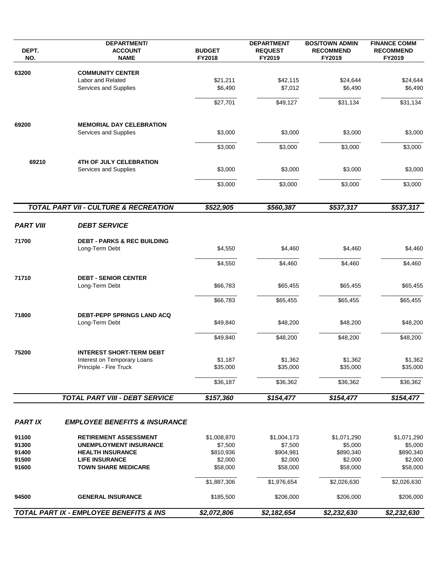| DEPT.<br>NO.     | <b>DEPARTMENT/</b><br><b>ACCOUNT</b><br><b>NAME</b>      | <b>BUDGET</b><br>FY2018 | <b>DEPARTMENT</b><br><b>REQUEST</b><br>FY2019 | <b>BOS/TOWN ADMIN</b><br><b>RECOMMEND</b><br>FY2019 | <b>FINANCE COMM</b><br><b>RECOMMEND</b><br>FY2019 |
|------------------|----------------------------------------------------------|-------------------------|-----------------------------------------------|-----------------------------------------------------|---------------------------------------------------|
| 63200            | <b>COMMUNITY CENTER</b>                                  |                         |                                               |                                                     |                                                   |
|                  | Labor and Related                                        | \$21,211                | \$42,115                                      | \$24,644                                            | \$24,644                                          |
|                  | <b>Services and Supplies</b>                             | \$6,490                 | \$7,012                                       | \$6,490                                             | \$6,490                                           |
|                  |                                                          |                         |                                               |                                                     |                                                   |
|                  |                                                          | \$27,701                | \$49,127                                      | \$31,134                                            | \$31,134                                          |
| 69200            | <b>MEMORIAL DAY CELEBRATION</b>                          |                         |                                               |                                                     |                                                   |
|                  | Services and Supplies                                    | \$3,000                 | \$3,000                                       | \$3,000                                             | \$3,000                                           |
|                  |                                                          | \$3,000                 | \$3,000                                       | \$3,000                                             | \$3,000                                           |
| 69210            | <b>4TH OF JULY CELEBRATION</b>                           |                         |                                               |                                                     |                                                   |
|                  | Services and Supplies                                    | \$3,000                 | \$3,000                                       | \$3,000                                             | \$3,000                                           |
|                  |                                                          | \$3,000                 | \$3,000                                       | \$3,000                                             | \$3,000                                           |
|                  |                                                          |                         |                                               |                                                     |                                                   |
|                  | <b>TOTAL PART VII - CULTURE &amp; RECREATION</b>         | \$522,905               | \$560,387                                     | \$537,317                                           | \$537,317                                         |
| <b>PART VIII</b> | <b>DEBT SERVICE</b>                                      |                         |                                               |                                                     |                                                   |
|                  |                                                          |                         |                                               |                                                     |                                                   |
| 71700            | <b>DEBT - PARKS &amp; REC BUILDING</b><br>Long-Term Debt | \$4,550                 | \$4,460                                       | \$4,460                                             | \$4,460                                           |
|                  |                                                          | \$4,550                 | \$4,460                                       | \$4,460                                             | \$4,460                                           |
| 71710            | <b>DEBT - SENIOR CENTER</b>                              |                         |                                               |                                                     |                                                   |
|                  | Long-Term Debt                                           | \$66,783                | \$65,455                                      | \$65,455                                            | \$65,455                                          |
|                  |                                                          | \$66,783                | \$65,455                                      | \$65,455                                            | \$65,455                                          |
|                  |                                                          |                         |                                               |                                                     |                                                   |
| 71800            | <b>DEBT-PEPP SPRINGS LAND ACQ</b><br>Long-Term Debt      | \$49,840                | \$48,200                                      | \$48,200                                            | \$48,200                                          |
|                  |                                                          | \$49,840                | \$48,200                                      | \$48,200                                            | \$48,200                                          |
| 75200            | <b>INTEREST SHORT-TERM DEBT</b>                          |                         |                                               |                                                     |                                                   |
|                  | Interest on Temporary Loans                              | \$1,187                 | \$1,362                                       | \$1,362                                             | \$1,362                                           |
|                  | Principle - Fire Truck                                   | \$35,000                | \$35,000                                      | \$35,000                                            | \$35,000                                          |
|                  |                                                          | \$36,187                | \$36,362                                      | \$36,362                                            | \$36,362                                          |
|                  | <b>TOTAL PART VIII - DEBT SERVICE</b>                    | \$157,360               | \$154,477                                     | \$154,477                                           | \$154,477                                         |
|                  |                                                          |                         |                                               |                                                     |                                                   |
| <b>PARTIX</b>    | <b>EMPLOYEE BENEFITS &amp; INSURANCE</b>                 |                         |                                               |                                                     |                                                   |
| 91100            | <b>RETIREMENT ASSESSMENT</b>                             | \$1,008,870             | \$1,004,173                                   | \$1,071,290                                         | \$1,071,290                                       |
| 91300            | <b>UNEMPLOYMENT INSURANCE</b>                            | \$7,500                 | \$7,500                                       | \$5,000                                             | \$5,000                                           |
| 91400            | <b>HEALTH INSURANCE</b>                                  | \$810,936               | \$904,981                                     | \$890,340                                           | \$890,340                                         |
| 91500            | <b>LIFE INSURANCE</b>                                    | \$2,000                 | \$2,000                                       | \$2,000                                             | \$2,000                                           |
| 91600            | <b>TOWN SHARE MEDICARE</b>                               | \$58,000                | \$58,000                                      | \$58,000                                            | \$58,000                                          |
|                  |                                                          | \$1,887,306             | \$1,976,654                                   | \$2,026,630                                         | \$2,026,630                                       |
| 94500            | <b>GENERAL INSURANCE</b>                                 | \$185,500               | \$206,000                                     | \$206,000                                           | \$206,000                                         |
|                  | TOTAL PART IX - EMPLOYEE BENEFITS & INS                  | \$2,072,806             | \$2,182,654                                   | \$2,232,630                                         | \$2,232,630                                       |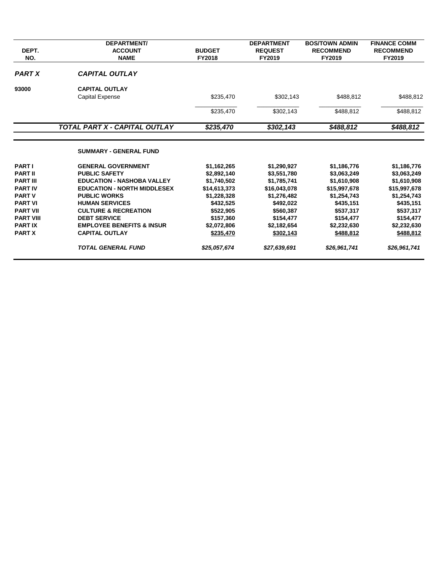|                  | <b>DEPARTMENT/</b>                   |               | <b>DEPARTMENT</b> | <b>BOS/TOWN ADMIN</b> | <b>FINANCE COMM</b> |
|------------------|--------------------------------------|---------------|-------------------|-----------------------|---------------------|
| DEPT.            | <b>ACCOUNT</b>                       | <b>BUDGET</b> | <b>REQUEST</b>    | <b>RECOMMEND</b>      | <b>RECOMMEND</b>    |
| NO.              | <b>NAME</b>                          | <b>FY2018</b> | FY2019            | FY2019                | FY2019              |
| <b>PART X</b>    | <b>CAPITAL OUTLAY</b>                |               |                   |                       |                     |
| 93000            | <b>CAPITAL OUTLAY</b>                |               |                   |                       |                     |
|                  | <b>Capital Expense</b>               | \$235,470     | \$302,143         | \$488,812             | \$488,812           |
|                  |                                      | \$235,470     | \$302,143         | \$488,812             | \$488,812           |
|                  | TOTAL PART X - CAPITAL OUTLAY        | \$235,470     | \$302,143         | \$488,812             | \$488,812           |
|                  | <b>SUMMARY - GENERAL FUND</b>        |               |                   |                       |                     |
| <b>PART I</b>    | <b>GENERAL GOVERNMENT</b>            | \$1,162,265   | \$1,290,927       | \$1,186,776           | \$1,186,776         |
| <b>PART II</b>   | <b>PUBLIC SAFETY</b>                 | \$2,892,140   | \$3,551,780       | \$3,063,249           | \$3,063,249         |
| <b>PART III</b>  | <b>EDUCATION - NASHOBA VALLEY</b>    | \$1,740,502   | \$1,785,741       | \$1,610,908           | \$1,610,908         |
| <b>PART IV</b>   | <b>EDUCATION - NORTH MIDDLESEX</b>   | \$14,613,373  | \$16,043,078      | \$15,997,678          | \$15,997,678        |
| <b>PART V</b>    | <b>PUBLIC WORKS</b>                  | \$1,228,328   | \$1,276,482       | \$1,254,743           | \$1,254,743         |
| <b>PART VI</b>   | <b>HUMAN SERVICES</b>                | \$432,525     | \$492,022         | \$435,151             | \$435,151           |
| <b>PART VII</b>  | <b>CULTURE &amp; RECREATION</b>      | \$522,905     | \$560,387         | \$537,317             | \$537,317           |
| <b>PART VIII</b> | <b>DEBT SERVICE</b>                  | \$157,360     | \$154,477         | \$154,477             | \$154,477           |
| <b>PARTIX</b>    | <b>EMPLOYEE BENEFITS &amp; INSUR</b> | \$2,072,806   | \$2,182,654       | \$2,232,630           | \$2,232,630         |
| <b>PART X</b>    | <b>CAPITAL OUTLAY</b>                | \$235,470     | \$302,143         | \$488,812             | \$488,812           |
|                  | <b>TOTAL GENERAL FUND</b>            | \$25,057,674  | \$27,639,691      | \$26,961,741          | \$26,961,741        |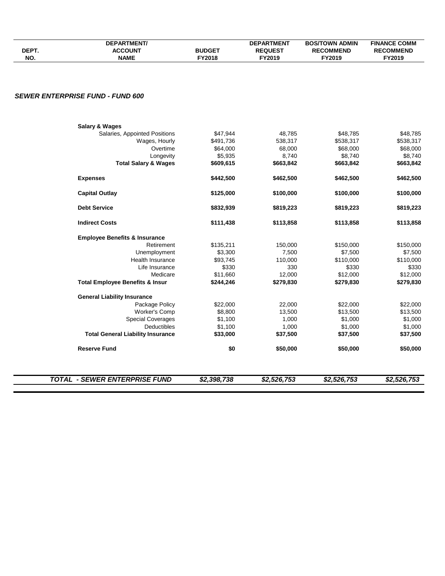| DEPT.<br>NO. | <b>DEPARTMENT/</b><br><b>ACCOUNT</b><br><b>NAME</b> | <b>BUDGET</b><br>FY2018 | <b>DEPARTMENT</b><br><b>REQUEST</b><br>FY2019 | <b>BOS/TOWN ADMIN</b><br><b>RECOMMEND</b><br>FY2019 | <b>FINANCE COMM</b><br><b>RECOMMEND</b><br>FY2019 |
|--------------|-----------------------------------------------------|-------------------------|-----------------------------------------------|-----------------------------------------------------|---------------------------------------------------|
|              |                                                     |                         |                                               |                                                     |                                                   |
|              | <b>SEWER ENTERPRISE FUND - FUND 600</b>             |                         |                                               |                                                     |                                                   |
|              | <b>Salary &amp; Wages</b>                           |                         |                                               |                                                     |                                                   |
|              | Salaries, Appointed Positions                       | \$47,944                | 48,785                                        | \$48,785                                            | \$48,785                                          |
|              | Wages, Hourly                                       | \$491,736               | 538,317                                       | \$538,317                                           | \$538,317                                         |
|              | Overtime                                            | \$64,000                | 68,000                                        | \$68,000                                            | \$68,000                                          |
|              | Longevity                                           | \$5,935                 | 8,740                                         | \$8,740                                             | \$8,740                                           |
|              | <b>Total Salary &amp; Wages</b>                     | \$609,615               | \$663,842                                     | \$663,842                                           | \$663,842                                         |
|              | <b>Expenses</b>                                     | \$442,500               | \$462,500                                     | \$462,500                                           | \$462,500                                         |
|              | <b>Capital Outlay</b>                               | \$125,000               | \$100,000                                     | \$100,000                                           | \$100,000                                         |
|              | <b>Debt Service</b>                                 | \$832,939               | \$819,223                                     | \$819,223                                           | \$819,223                                         |
|              | <b>Indirect Costs</b>                               | \$111,438               | \$113,858                                     | \$113,858                                           | \$113,858                                         |
|              | <b>Employee Benefits &amp; Insurance</b>            |                         |                                               |                                                     |                                                   |
|              | Retirement                                          | \$135,211               | 150,000                                       | \$150,000                                           | \$150,000                                         |
|              | Unemployment                                        | \$3,300                 | 7,500                                         | \$7,500                                             | \$7,500                                           |
|              | Health Insurance                                    | \$93,745                | 110,000                                       | \$110,000                                           | \$110,000                                         |
|              | Life Insurance                                      | \$330                   | 330                                           | \$330                                               | \$330                                             |
|              | Medicare                                            | \$11,660                | 12,000                                        | \$12,000                                            | \$12,000                                          |
|              | <b>Total Employee Benefits &amp; Insur</b>          | \$244,246               | \$279,830                                     | \$279,830                                           | \$279,830                                         |
|              | <b>General Liability Insurance</b>                  |                         |                                               |                                                     |                                                   |
|              | Package Policy                                      | \$22,000                | 22,000                                        | \$22,000                                            | \$22,000                                          |
|              | <b>Worker's Comp</b>                                | \$8,800                 | 13,500                                        | \$13,500                                            | \$13,500                                          |
|              | <b>Special Coverages</b>                            | \$1,100                 | 1,000                                         | \$1,000                                             | \$1,000                                           |
|              | <b>Deductibles</b>                                  | \$1,100                 | 1,000                                         | \$1,000                                             | \$1,000                                           |
|              | <b>Total General Liability Insurance</b>            | \$33,000                | \$37,500                                      | \$37,500                                            | \$37,500                                          |
|              | <b>Reserve Fund</b>                                 | \$0                     | \$50,000                                      | \$50,000                                            | \$50,000                                          |
|              |                                                     |                         |                                               |                                                     |                                                   |
|              | <b>TOTAL - SEWER ENTERPRISE FUND</b>                | \$2,398,738             | \$2,526,753                                   | \$2,526,753                                         | \$2,526,753                                       |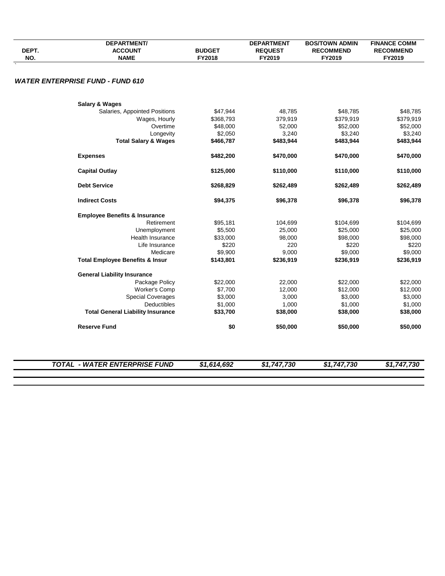| DEPT.<br>NO. | <b>DEPARTMENT/</b><br><b>ACCOUNT</b><br><b>NAME</b> | <b>BUDGET</b><br>FY2018 | <b>DEPARTMENT</b><br><b>REQUEST</b><br>FY2019 | <b>BOS/TOWN ADMIN</b><br><b>RECOMMEND</b><br>FY2019 | <b>FINANCE COMM</b><br><b>RECOMMEND</b><br>FY2019 |
|--------------|-----------------------------------------------------|-------------------------|-----------------------------------------------|-----------------------------------------------------|---------------------------------------------------|
|              |                                                     |                         |                                               |                                                     |                                                   |
|              | <b>WATER ENTERPRISE FUND - FUND 610</b>             |                         |                                               |                                                     |                                                   |
|              | <b>Salary &amp; Wages</b>                           |                         |                                               |                                                     |                                                   |
|              | Salaries, Appointed Positions                       | \$47,944                | 48,785                                        | \$48,785                                            | \$48,785                                          |
|              | Wages, Hourly                                       | \$368,793               | 379,919                                       | \$379,919                                           | \$379,919                                         |
|              | Overtime                                            | \$48,000                | 52,000                                        | \$52,000                                            | \$52,000                                          |
|              | Longevity                                           | \$2,050                 | 3,240                                         | \$3,240                                             | \$3,240                                           |
|              | <b>Total Salary &amp; Wages</b>                     | \$466,787               | \$483,944                                     | \$483,944                                           | \$483,944                                         |
|              | <b>Expenses</b>                                     | \$482,200               | \$470,000                                     | \$470,000                                           | \$470,000                                         |
|              | <b>Capital Outlay</b>                               | \$125,000               | \$110,000                                     | \$110,000                                           | \$110,000                                         |
|              | <b>Debt Service</b>                                 | \$268,829               | \$262,489                                     | \$262,489                                           | \$262,489                                         |
|              | <b>Indirect Costs</b>                               | \$94,375                | \$96,378                                      | \$96,378                                            | \$96,378                                          |
|              | <b>Employee Benefits &amp; Insurance</b>            |                         |                                               |                                                     |                                                   |
|              | Retirement                                          | \$95,181                | 104,699                                       | \$104,699                                           | \$104,699                                         |
|              | Unemployment                                        | \$5,500                 | 25,000                                        | \$25,000                                            | \$25,000                                          |
|              | Health Insurance                                    | \$33,000                | 98,000                                        | \$98,000                                            | \$98,000                                          |
|              | Life Insurance                                      | \$220                   | 220                                           | \$220                                               | \$220                                             |
|              | Medicare                                            | \$9,900                 | 9,000                                         | \$9,000                                             | \$9,000                                           |
|              | <b>Total Employee Benefits &amp; Insur</b>          | \$143,801               | \$236,919                                     | \$236,919                                           | \$236,919                                         |
|              | <b>General Liability Insurance</b>                  |                         |                                               |                                                     |                                                   |
|              | Package Policy                                      | \$22,000                | 22,000                                        | \$22,000                                            | \$22,000                                          |
|              | Worker's Comp                                       | \$7,700                 | 12,000                                        | \$12,000                                            | \$12,000                                          |
|              | <b>Special Coverages</b>                            | \$3,000                 | 3,000                                         | \$3,000                                             | \$3,000                                           |
|              | <b>Deductibles</b>                                  | \$1,000                 | 1,000                                         | \$1,000                                             | \$1,000                                           |
|              | <b>Total General Liability Insurance</b>            | \$33,700                | \$38,000                                      | \$38,000                                            | \$38,000                                          |
|              | <b>Reserve Fund</b>                                 | \$0                     | \$50,000                                      | \$50,000                                            | \$50,000                                          |
|              |                                                     |                         |                                               |                                                     |                                                   |
|              | <b>TOTAL - WATER ENTERPRISE FUND</b>                | \$1,614,692             | \$1,747,730                                   | \$1,747,730                                         | \$1,747,730                                       |
|              |                                                     |                         |                                               |                                                     |                                                   |